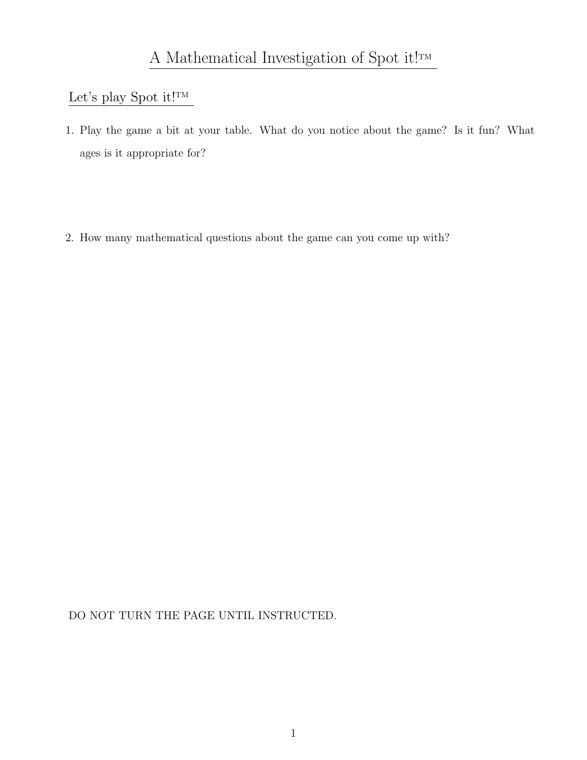# Let's play Spot it!<br> $\ensuremath{^\text{TM}}$

- 1. Play the game a bit at your table. What do you notice about the game? Is it fun? What ages is it appropriate for?
- 2. How many mathematical questions about the game can you come up with?

DO NOT TURN THE PAGE UNTIL INSTRUCTED.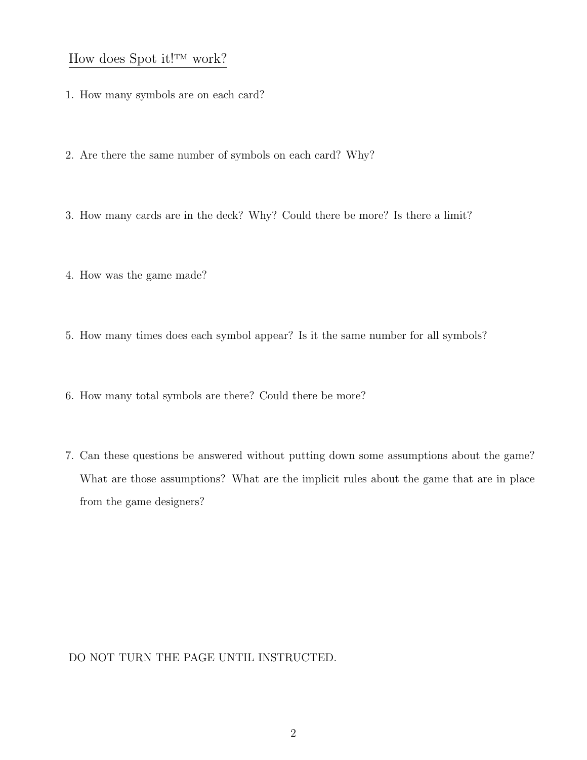### How does Spot it!<sup>TM</sup> work?

- 1. How many symbols are on each card?
- 2. Are there the same number of symbols on each card? Why?
- 3. How many cards are in the deck? Why? Could there be more? Is there a limit?
- 4. How was the game made?
- 5. How many times does each symbol appear? Is it the same number for all symbols?
- 6. How many total symbols are there? Could there be more?
- 7. Can these questions be answered without putting down some assumptions about the game? What are those assumptions? What are the implicit rules about the game that are in place from the game designers?

DO NOT TURN THE PAGE UNTIL INSTRUCTED.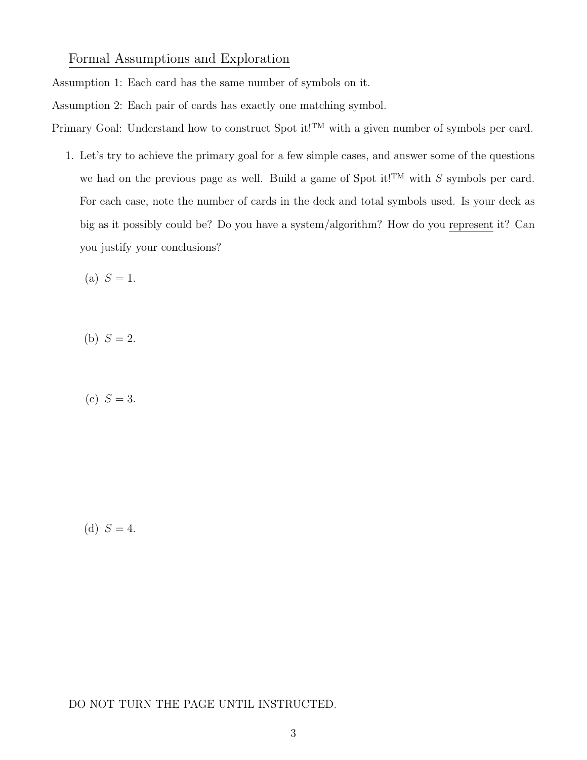Formal Assumptions and Exploration

Assumption 1: Each card has the same number of symbols on it.

Assumption 2: Each pair of cards has exactly one matching symbol.

Primary Goal: Understand how to construct Spot it!<sup>TM</sup> with a given number of symbols per card.

1. Let's try to achieve the primary goal for a few simple cases, and answer some of the questions we had on the previous page as well. Build a game of Spot it!<sup>TM</sup> with  $S$  symbols per card. For each case, note the number of cards in the deck and total symbols used. Is your deck as big as it possibly could be? Do you have a system/algorithm? How do you represent it? Can you justify your conclusions?

(a)  $S = 1$ .

(b)  $S = 2$ .

(c)  $S = 3$ .

(d)  $S = 4$ .

DO NOT TURN THE PAGE UNTIL INSTRUCTED.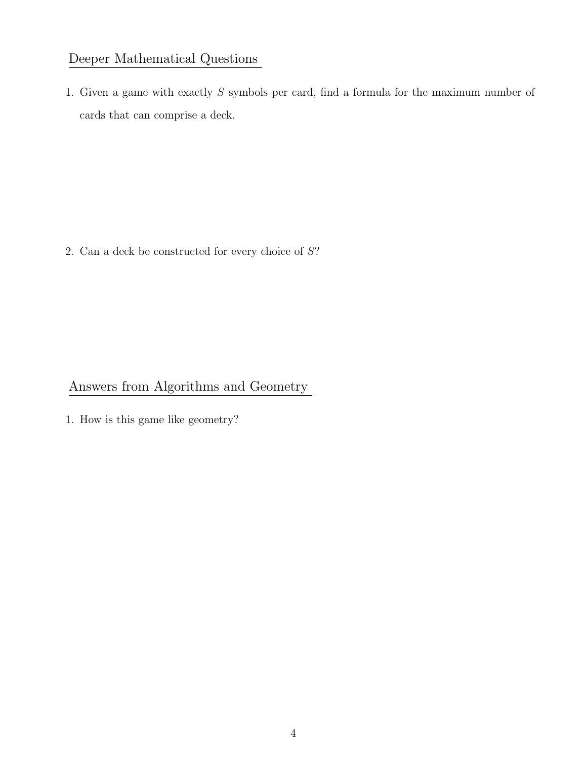### Deeper Mathematical Questions

1. Given a game with exactly S symbols per card, find a formula for the maximum number of cards that can comprise a deck.

2. Can a deck be constructed for every choice of S?

# Answers from Algorithms and Geometry

1. How is this game like geometry?